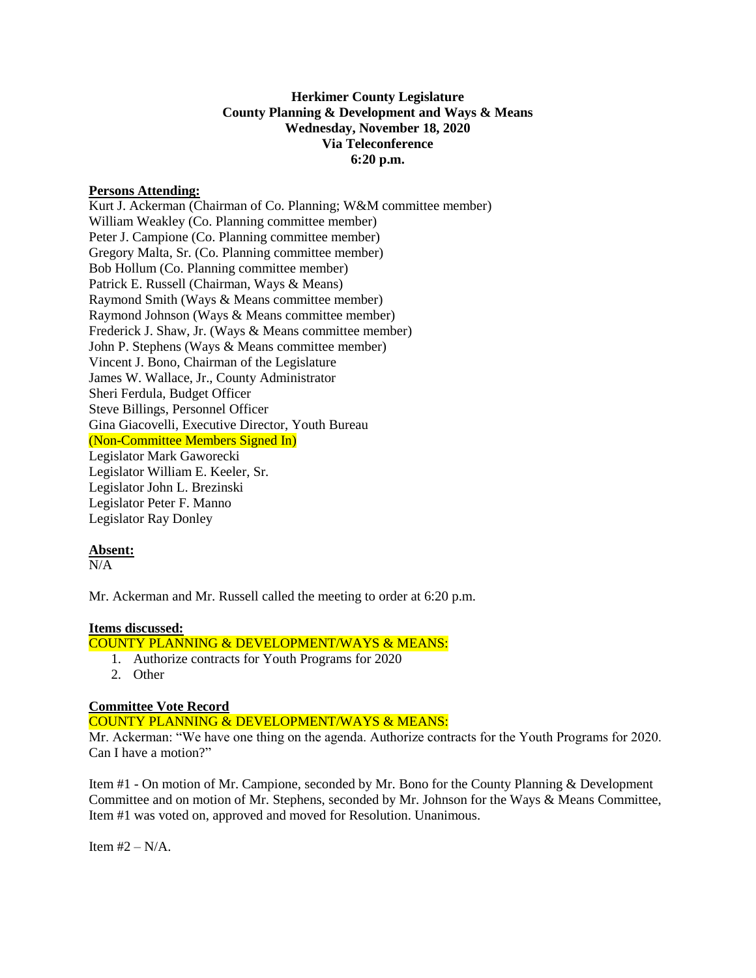# **Herkimer County Legislature County Planning & Development and Ways & Means Wednesday, November 18, 2020 Via Teleconference 6:20 p.m.**

## **Persons Attending:**

Kurt J. Ackerman (Chairman of Co. Planning; W&M committee member) William Weakley (Co. Planning committee member) Peter J. Campione (Co. Planning committee member) Gregory Malta, Sr. (Co. Planning committee member) Bob Hollum (Co. Planning committee member) Patrick E. Russell (Chairman, Ways & Means) Raymond Smith (Ways & Means committee member) Raymond Johnson (Ways & Means committee member) Frederick J. Shaw, Jr. (Ways & Means committee member) John P. Stephens (Ways & Means committee member) Vincent J. Bono, Chairman of the Legislature James W. Wallace, Jr., County Administrator Sheri Ferdula, Budget Officer Steve Billings, Personnel Officer Gina Giacovelli, Executive Director, Youth Bureau (Non-Committee Members Signed In) Legislator Mark Gaworecki Legislator William E. Keeler, Sr. Legislator John L. Brezinski Legislator Peter F. Manno Legislator Ray Donley

## **Absent:**

 $N/A$ 

Mr. Ackerman and Mr. Russell called the meeting to order at 6:20 p.m.

## **Items discussed:**

COUNTY PLANNING & DEVELOPMENT/WAYS & MEANS:

- 1. Authorize contracts for Youth Programs for 2020
- 2. Other

## **Committee Vote Record**

COUNTY PLANNING & DEVELOPMENT/WAYS & MEANS:

Mr. Ackerman: "We have one thing on the agenda. Authorize contracts for the Youth Programs for 2020. Can I have a motion?"

Item #1 - On motion of Mr. Campione, seconded by Mr. Bono for the County Planning & Development Committee and on motion of Mr. Stephens, seconded by Mr. Johnson for the Ways & Means Committee, Item #1 was voted on, approved and moved for Resolution. Unanimous.

Item  $#2 - N/A$ .